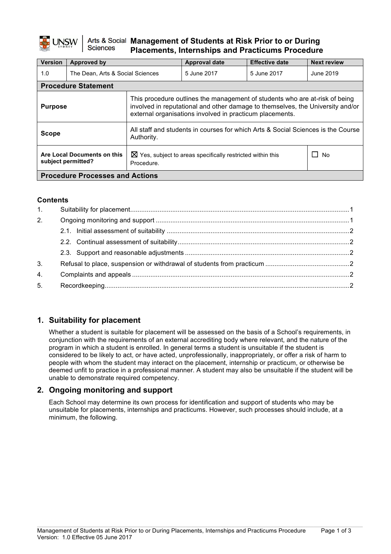#### Arts & Social Management of Students at Risk Prior to or During **Sciences Placements, Internships and Practicums Procedure**

| <b>Version</b>                                    | Approved by                      |                                                                                                                                                                                                                           | <b>Approval date</b> | <b>Effective date</b> | <b>Next review</b> |  |
|---------------------------------------------------|----------------------------------|---------------------------------------------------------------------------------------------------------------------------------------------------------------------------------------------------------------------------|----------------------|-----------------------|--------------------|--|
| 1.0                                               | The Dean, Arts & Social Sciences |                                                                                                                                                                                                                           | 5 June 2017          | 5 June 2017           | June 2019          |  |
|                                                   | <b>Procedure Statement</b>       |                                                                                                                                                                                                                           |                      |                       |                    |  |
| <b>Purpose</b>                                    |                                  | This procedure outlines the management of students who are at-risk of being<br>involved in reputational and other damage to themselves, the University and/or<br>external organisations involved in practicum placements. |                      |                       |                    |  |
| <b>Scope</b>                                      |                                  | All staff and students in courses for which Arts & Social Sciences is the Course<br>Authority.                                                                                                                            |                      |                       |                    |  |
| Are Local Documents on this<br>subject permitted? |                                  | $\boxtimes$ Yes, subject to areas specifically restricted within this<br>Procedure.                                                                                                                                       |                      |                       | No                 |  |
| <b>Procedure Processes and Actions</b>            |                                  |                                                                                                                                                                                                                           |                      |                       |                    |  |

#### **Contents**

| 1. |  |
|----|--|
| 2. |  |
|    |  |
|    |  |
|    |  |
| 3. |  |
| 4. |  |
| 5. |  |
|    |  |

# **1. Suitability for placement**

Whether a student is suitable for placement will be assessed on the basis of a School's requirements, in conjunction with the requirements of an external accrediting body where relevant, and the nature of the program in which a student is enrolled. In general terms a student is unsuitable if the student is considered to be likely to act, or have acted, unprofessionally, inappropriately, or offer a risk of harm to people with whom the student may interact on the placement, internship or practicum, or otherwise be deemed unfit to practice in a professional manner. A student may also be unsuitable if the student will be unable to demonstrate required competency.

# **2. Ongoing monitoring and support**

Each School may determine its own process for identification and support of students who may be unsuitable for placements, internships and practicums. However, such processes should include, at a minimum, the following.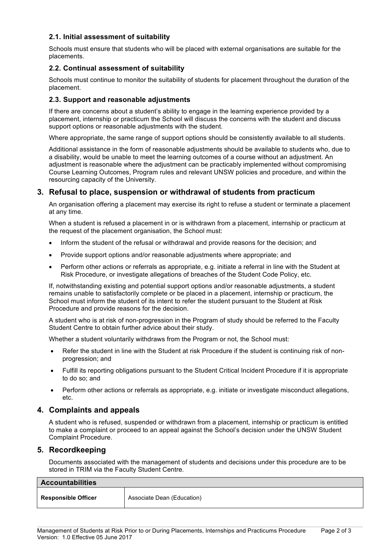### **2.1. Initial assessment of suitability**

Schools must ensure that students who will be placed with external organisations are suitable for the placements.

#### **2.2. Continual assessment of suitability**

Schools must continue to monitor the suitability of students for placement throughout the duration of the placement.

#### **2.3. Support and reasonable adjustments**

If there are concerns about a student's ability to engage in the learning experience provided by a placement, internship or practicum the School will discuss the concerns with the student and discuss support options or reasonable adjustments with the student.

Where appropriate, the same range of support options should be consistently available to all students.

Additional assistance in the form of reasonable adjustments should be available to students who, due to a disability, would be unable to meet the learning outcomes of a course without an adjustment. An adjustment is reasonable where the adjustment can be practicably implemented without compromising Course Learning Outcomes, Program rules and relevant UNSW policies and procedure, and within the resourcing capacity of the University.

## **3. Refusal to place, suspension or withdrawal of students from practicum**

An organisation offering a placement may exercise its right to refuse a student or terminate a placement at any time.

When a student is refused a placement in or is withdrawn from a placement, internship or practicum at the request of the placement organisation, the School must:

- Inform the student of the refusal or withdrawal and provide reasons for the decision; and
- Provide support options and/or reasonable adjustments where appropriate; and
- Perform other actions or referrals as appropriate, e.g. initiate a referral in line with the Student at Risk Procedure, or investigate allegations of breaches of the Student Code Policy, etc.

If, notwithstanding existing and potential support options and/or reasonable adjustments, a student remains unable to satisfactorily complete or be placed in a placement, internship or practicum, the School must inform the student of its intent to refer the student pursuant to the Student at Risk Procedure and provide reasons for the decision.

A student who is at risk of non-progression in the Program of study should be referred to the Faculty Student Centre to obtain further advice about their study.

Whether a student voluntarily withdraws from the Program or not, the School must:

- Refer the student in line with the Student at risk Procedure if the student is continuing risk of nonprogression; and
- Fulfill its reporting obligations pursuant to the Student Critical Incident Procedure if it is appropriate to do so; and
- Perform other actions or referrals as appropriate, e.g. initiate or investigate misconduct allegations, etc.

#### **4. Complaints and appeals**

A student who is refused, suspended or withdrawn from a placement, internship or practicum is entitled to make a complaint or proceed to an appeal against the School's decision under the UNSW Student Complaint Procedure.

#### **5. Recordkeeping**

Documents associated with the management of students and decisions under this procedure are to be stored in TRIM via the Faculty Student Centre.

| <b>Accountabilities</b>    |                            |  |
|----------------------------|----------------------------|--|
| <b>Responsible Officer</b> | Associate Dean (Education) |  |